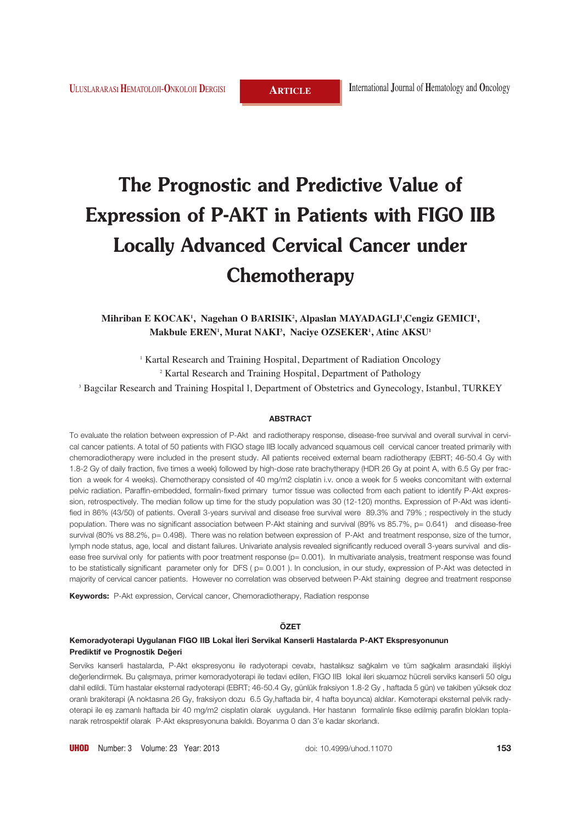# **The Prognostic and Predictive Value of Expression of P-AKT in Patients with FIGO IIB Locally Advanced Cervical Cancer under Chemotherapy**

Mihriban E KOCAK<sup>ı</sup>, Nagehan O BARISIK<sup>2</sup>, Alpaslan MAYADAGLI<sup>ı</sup>,Cengiz GEMICI<sup>1</sup>, **Makbule EREN1 , Murat NAKI3 , Naciye OZSEKER1 , Atinc AKSU1**

<sup>1</sup> Kartal Research and Training Hospital, Department of Radiation Oncology <sup>2</sup> Kartal Research and Training Hospital, Department of Pathology

<sup>3</sup> Bagcilar Research and Training Hospital 1, Department of Obstetrics and Gynecology, Istanbul, TURKEY

#### **ABSTRACT**

To evaluate the relation between expression of P-Akt and radiotherapy response, disease-free survival and overall survival in cervical cancer patients. A total of 50 patients with FIGO stage IIB locally advanced squamous cell cervical cancer treated primarily with chemoradiotherapy were included in the present study. All patients received external beam radiotherapy (EBRT; 46-50.4 Gy with 1.8-2 Gy of daily fraction, five times a week) followed by high-dose rate brachytherapy (HDR 26 Gy at point A, with 6.5 Gy per fraction a week for 4 weeks). Chemotherapy consisted of 40 mg/m2 cisplatin i.v. once a week for 5 weeks concomitant with external pelvic radiation. Paraffin-embedded, formalin-fixed primary tumor tissue was collected from each patient to identify P-Akt expression, retrospectively. The median follow up time for the study population was 30 (12-120) months. Expression of P-Akt was identified in 86% (43/50) of patients. Overall 3-years survival and disease free survival were 89.3% and 79% ; respectively in the study population. There was no significant association between P-Akt staining and survival (89% vs 85.7%, p= 0.641) and disease-free survival (80% vs 88.2%, p= 0.498). There was no relation between expression of P-Akt and treatment response, size of the tumor, lymph node status, age, local and distant failures. Univariate analysis revealed significantly reduced overall 3-years survival and disease free survival only for patients with poor treatment response (p= 0.001). In multivariate analysis, treatment response was found to be statistically significant parameter only for DFS ( $p= 0.001$ ). In conclusion, in our study, expression of P-Akt was detected in majority of cervical cancer patients. However no correlation was observed between P-Akt staining degree and treatment response

**Keywords:** P-Akt expression, Cervical cancer, Chemoradiotherapy, Radiation response

#### **ÖZET**

#### Kemoradyoterapi Uygulanan FIGO IIB Lokal İleri Servikal Kanserli Hastalarda P-AKT Ekspresyonunun **Prediktif ve Prognostik Değeri**

Serviks kanserli hastalarda, P-Akt ekspresyonu ile radyoterapi cevabı, hastalıksız sağkalım ve tüm sağkalım arasındaki ilişkiyi değerlendirmek. Bu çalışmaya, primer kemoradyoterapi ile tedavi edilen, FIGO IIB lokal ileri skuamoz hücreli serviks kanserli 50 olgu dahil edildi. Tüm hastalar eksternal radyoterapi (EBRT; 46-50.4 Gy, günlük fraksiyon 1.8-2 Gy , haftada 5 gün) ve takiben yüksek doz oranlı brakiterapi (A noktasına 26 Gy, fraksiyon dozu 6.5 Gy,haftada bir, 4 hafta boyunca) aldılar. Kemoterapi eksternal pelvik radyoterapi ile eş zamanlı haftada bir 40 mg/m2 cisplatin olarak uygulandı. Her hastanın formalinle fikse edilmiş parafin blokları toplanarak retrospektif olarak P-Akt ekspresyonuna bakıldı. Boyanma 0 dan 3'e kadar skorlandı.

doi: 10.4999/uhod.11070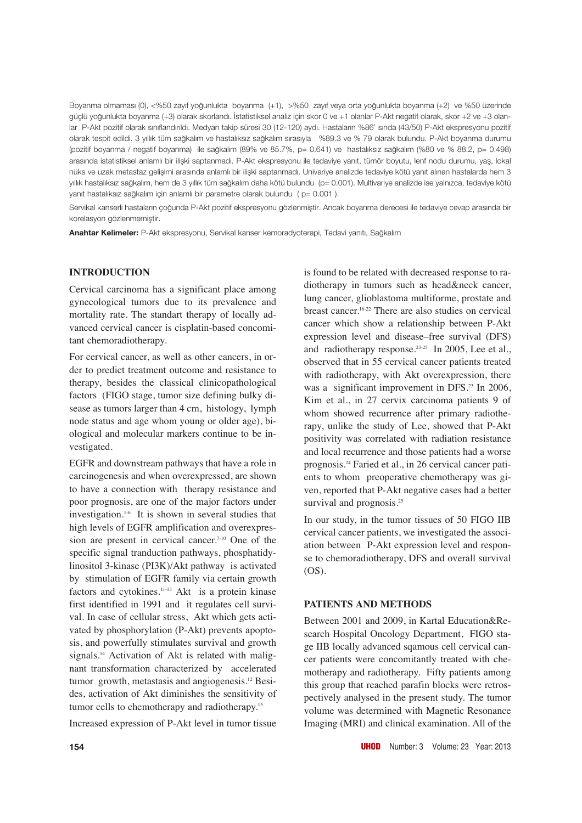Boyanma olmaması (0), <%50 zayıf yoğunlukta boyanma (+1), >%50 zayıf veya orta yoğunlukta boyanma (+2) ve %50 üzerinde güçlü yoğunlukta boyanma (+3) olarak skorlandı. İstatistiksel analiz için skor 0 ve +1 olanlar P-Akt negatif olarak, skor +2 ve +3 olanlar P-Akt pozitif olarak sınıflandırıldı. Medyan takip süresi 30 (12-120) aydı. Hastaların %86' sında (43/50) P-Akt ekspresyonu pozitif olarak tespit edildi. 3 yıllık tüm sağkalım ve hastalıksız sağkalım sırasıyla %89.3 ve % 79 olarak bulundu. P-Akt boyanma durumu (pozitif boyanma / negatif boyanma) ile sağkalım (89% ve 85.7%, p= 0.641) ve hastalıksız sağkalım (%80 ve % 88.2, p= 0.498) arasında istatistiksel anlamlı bir ilişki saptanmadı. P-Akt ekspresyonu ile tedaviye yanıt, tümör boyutu, lenf nodu durumu, yaş, lokal nüks ve uzak metastaz gelişimi arasında anlamlı bir ilişki saptanmadı. Univariye analizde tedaviye kötü yanıt alınan hastalarda hem 3 yıllık hastalıksız sağkalım, hem de 3 yıllık tüm sağkalım daha kötü bulundu (p= 0.001). Multivariye analizde ise yalnızca, tedaviye kötü yanıt hastalıksız sağkalım için anlamlı bir parametre olarak bulundu (p= 0.001).

Servikal kanserli hastaların çoğunda P-Akt pozitif ekspresyonu gözlenmiştir. Ancak boyanma derecesi ile tedaviye cevap arasında bir korelasyon gözlenmemiştir.

**Anahtar Kelimeler:** P-Akt ekspresyonu, Servikal kanser kemoradyoterapi, Tedavi yanıtı, Sağkalım

## **INTRODUCTION**

Cervical carcinoma has a significant place among gynecological tumors due to its prevalence and mortality rate. The standart therapy of locally advanced cervical cancer is cisplatin-based concomitant chemoradiotherapy.

For cervical cancer, as well as other cancers, in order to predict treatment outcome and resistance to therapy, besides the classical clinicopathological factors (FIGO stage, tumor size defining bulky disease as tumors larger than 4 cm, histology, lymph node status and age whom young or older age), biological and molecular markers continue to be investigated.

EGFR and downstream pathways that have a role in carcinogenesis and when overexpressed, are shown to have a connection with therapy resistance and poor prognosis, are one of the major factors under investigation.1-6 It is shown in several studies that high levels of EGFR amplification and overexpression are present in cervical cancer.<sup>7-10</sup> One of the specific signal tranduction pathways, phosphatidylinositol 3-kinase (PI3K)/Akt pathway is activated by stimulation of EGFR family via certain growth factors and cytokines.11-13 Akt is a protein kinase first identified in 1991 and it regulates cell survival. In case of cellular stress, Akt which gets activated by phosphorylation (P-Akt) prevents apoptosis, and powerfully stimulates survival and growth signals.<sup>14</sup> Activation of Akt is related with malignant transformation characterized by accelerated tumor growth, metastasis and angiogenesis.12 Besides, activation of Akt diminishes the sensitivity of tumor cells to chemotherapy and radiotherapy.15

Increased expression of P-Akt level in tumor tissue

is found to be related with decreased response to radiotherapy in tumors such as head&neck cancer, lung cancer, glioblastoma multiforme, prostate and breast cancer.16-22 There are also studies on cervical cancer which show a relationship between P-Akt expression level and disease–free survival (DFS) and radiotherapy response.23-25 In 2005, Lee et al., observed that in 55 cervical cancer patients treated with radiotherapy, with Akt overexpression, there was a significant improvement in DFS.<sup>23</sup> In 2006, Kim et al., in 27 cervix carcinoma patients 9 of whom showed recurrence after primary radiotherapy, unlike the study of Lee, showed that P-Akt positivity was correlated with radiation resistance and local recurrence and those patients had a worse prognosis.24 Faried et al., in 26 cervical cancer patients to whom preoperative chemotherapy was given, reported that P-Akt negative cases had a better survival and prognosis.<sup>25</sup>

In our study, in the tumor tissues of 50 FIGO IIB cervical cancer patients, we investigated the association between P-Akt expression level and response to chemoradiotherapy, DFS and overall survival (OS).

## **PATIENTS AND METHODS**

Between 2001 and 2009, in Kartal Education&Research Hospital Oncology Department, FIGO stage IIB locally advanced sqamous cell cervical cancer patients were concomitantly treated with chemotherapy and radiotherapy. Fifty patients among this group that reached parafin blocks were retrospectively analysed in the present study. The tumor volume was determined with Magnetic Resonance Imaging (MRI) and clinical examination. All of the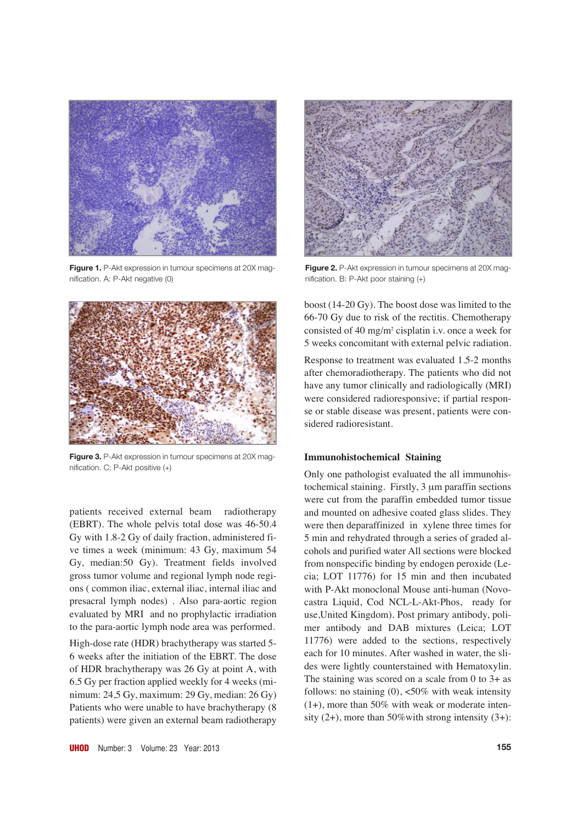

**Figure 1.** P-Akt expression in tumour specimens at 20X magnification. A: P-Akt negative (0)



**Figure 3.** P-Akt expression in tumour specimens at 20X magnification. C: P-Akt positive (+)

patients received external beam radiotherapy (EBRT). The whole pelvis total dose was 46-50.4 Gy with 1.8-2 Gy of daily fraction, administered five times a week (minimum: 43 Gy, maximum 54 Gy, median:50 Gy). Treatment fields involved gross tumor volume and regional lymph node regions ( common iliac, external iliac, internal iliac and presacral lymph nodes) . Also para-aortic region evaluated by MRI and no prophylactic irradiation to the para-aortic lymph node area was performed.

High-dose rate (HDR) brachytherapy was started 5- 6 weeks after the initiation of the EBRT. The dose of HDR brachytherapy was 26 Gy at point A, with 6.5 Gy per fraction applied weekly for 4 weeks (minimum: 24,5 Gy, maximum: 29 Gy, median: 26 Gy) Patients who were unable to have brachytherapy (8 patients) were given an external beam radiotherapy



**Figure 2.** P-Akt expression in tumour specimens at 20X magnification. B: P-Akt poor staining (+)

boost (14-20 Gy). The boost dose was limited to the 66-70 Gy due to risk of the rectitis. Chemotherapy consisted of 40 mg/m2 cisplatin i.v. once a week for 5 weeks concomitant with external pelvic radiation.

Response to treatment was evaluated 1.5-2 months after chemoradiotherapy. The patients who did not have any tumor clinically and radiologically (MRI) were considered radioresponsive; if partial response or stable disease was present, patients were considered radioresistant.

#### **Immunohistochemical Staining**

Only one pathologist evaluated the all immunohistochemical staining. Firstly, 3 µm paraffin sections were cut from the paraffin embedded tumor tissue and mounted on adhesive coated glass slides. They were then deparaffinized in xylene three times for 5 min and rehydrated through a series of graded alcohols and purified water All sections were blocked from nonspecific binding by endogen peroxide (Lecia; LOT 11776) for 15 min and then incubated with P-Akt monoclonal Mouse anti-human (Novocastra Liquid, Cod NCL-L-Akt-Phos, ready for use,United Kingdom). Post primary antibody, polimer antibody and DAB mixtures (Leica; LOT 11776) were added to the sections, respectively each for 10 minutes. After washed in water, the slides were lightly counterstained with Hematoxylin. The staining was scored on a scale from  $0$  to  $3+$  as follows: no staining  $(0)$ , <50% with weak intensity  $(1+)$ , more than 50% with weak or moderate intensity  $(2+)$ , more than 50% with strong intensity  $(3+)$ :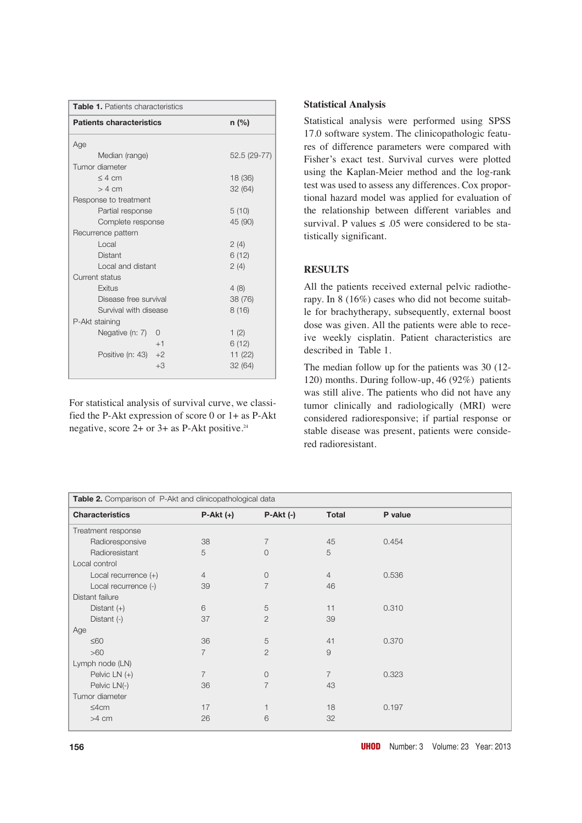| Table 1. Patients characteristics |              |  |  |  |
|-----------------------------------|--------------|--|--|--|
| <b>Patients characteristics</b>   | $n$ (%)      |  |  |  |
| Age                               |              |  |  |  |
| Median (range)                    | 52.5 (29-77) |  |  |  |
| Tumor diameter                    |              |  |  |  |
| $\leq 4$ cm                       | 18 (36)      |  |  |  |
| > 4 cm                            | 32 (64)      |  |  |  |
| Response to treatment             |              |  |  |  |
| Partial response                  | 5(10)        |  |  |  |
| Complete response                 | 45 (90)      |  |  |  |
| Recurrence pattern                |              |  |  |  |
| Local                             | 2(4)         |  |  |  |
| Distant                           | 6(12)        |  |  |  |
| Local and distant                 | 2(4)         |  |  |  |
| Current status                    |              |  |  |  |
| Exitus                            | 4(8)         |  |  |  |
| Disease free survival             | 38 (76)      |  |  |  |
| Survival with disease             | 8(16)        |  |  |  |
| P-Akt staining                    |              |  |  |  |
| Negative (n: 7)<br>$\Omega$       | 1(2)         |  |  |  |
| $+1$                              | 6(12)        |  |  |  |
| Positive (n: 43)<br>$+2$          | 11(22)       |  |  |  |
| $+3$                              | 32 (64)      |  |  |  |
|                                   |              |  |  |  |

For statistical analysis of survival curve, we classified the P-Akt expression of score 0 or 1+ as P-Akt negative, score  $2+$  or  $3+$  as P-Akt positive.<sup>24</sup>

## **Statistical Analysis**

Statistical analysis were performed using SPSS 17.0 software system. The clinicopathologic features of difference parameters were compared with Fisher's exact test. Survival curves were plotted using the Kaplan-Meier method and the log-rank test was used to assess any differences. Cox proportional hazard model was applied for evaluation of the relationship between different variables and survival. P values  $\leq 0.05$  were considered to be statistically significant.

## **RESULTS**

All the patients received external pelvic radiotherapy. In 8 (16%) cases who did not become suitable for brachytherapy, subsequently, external boost dose was given. All the patients were able to receive weekly cisplatin. Patient characteristics are described in Table 1.

The median follow up for the patients was 30 (12- 120) months. During follow-up, 46 (92%) patients was still alive. The patients who did not have any tumor clinically and radiologically (MRI) were considered radioresponsive; if partial response or stable disease was present, patients were considered radioresistant.

| Table 2. Comparison of P-Akt and clinicopathological data |                |                |                |         |  |
|-----------------------------------------------------------|----------------|----------------|----------------|---------|--|
| <b>Characteristics</b>                                    | $P-Akt (+)$    | $P-Akt$ (-)    | <b>Total</b>   | P value |  |
| Treatment response                                        |                |                |                |         |  |
| Radioresponsive                                           | 38             | 7              | 45             | 0.454   |  |
| Radioresistant                                            | 5              | $\overline{0}$ | 5              |         |  |
| Local control                                             |                |                |                |         |  |
| Local recurrence $(+)$                                    | $\overline{4}$ | $\circ$        | $\overline{4}$ | 0.536   |  |
| Local recurrence (-)                                      | 39             | $\overline{7}$ | 46             |         |  |
| Distant failure                                           |                |                |                |         |  |
| Distant $(+)$                                             | 6              | 5              | 11             | 0.310   |  |
| Distant (-)                                               | 37             | $\overline{2}$ | 39             |         |  |
| Age                                                       |                |                |                |         |  |
| $\leq 60$                                                 | 36             | 5              | 41             | 0.370   |  |
| >60                                                       | $\overline{7}$ | $\overline{2}$ | 9              |         |  |
| Lymph node (LN)                                           |                |                |                |         |  |
| Pelvic LN (+)                                             | $\overline{7}$ | $\circ$        | $\overline{7}$ | 0.323   |  |
| Pelvic LN(-)                                              | 36             | 7              | 43             |         |  |
| Tumor diameter                                            |                |                |                |         |  |
| ≤4cm                                                      | 17             |                | 18             | 0.197   |  |
| $>4$ cm                                                   | 26             | 6              | 32             |         |  |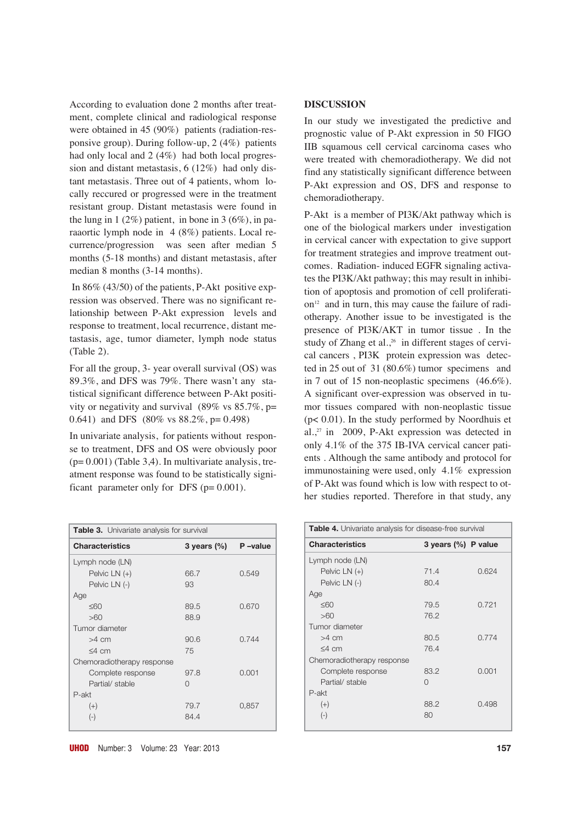According to evaluation done 2 months after treatment, complete clinical and radiological response were obtained in 45 (90%) patients (radiation-responsive group). During follow-up, 2 (4%) patients had only local and 2 (4%) had both local progression and distant metastasis, 6 (12%) had only distant metastasis. Three out of 4 patients, whom locally reccured or progressed were in the treatment resistant group. Distant metastasis were found in the lung in  $1(2\%)$  patient, in bone in  $3(6\%)$ , in paraaortic lymph node in 4 (8%) patients. Local recurrence/progression was seen after median 5 months (5-18 months) and distant metastasis, after median 8 months (3-14 months).

In 86% (43/50) of the patients, P-Akt positive expression was observed. There was no significant relationship between P-Akt expression levels and response to treatment, local recurrence, distant metastasis, age, tumor diameter, lymph node status (Table 2).

For all the group, 3- year overall survival (OS) was 89.3%, and DFS was 79%. There wasn't any statistical significant difference between P-Akt positivity or negativity and survival  $(89\% \text{ vs } 85.7\%, \text{p}$ 0.641) and DFS (80% vs 88.2%, p= 0.498)

In univariate analysis, for patients without response to treatment, DFS and OS were obviously poor  $(p= 0.001)$  (Table 3,4). In multivariate analysis, treatment response was found to be statistically significant parameter only for DFS  $(p= 0.001)$ .

| <b>Table 3.</b> Univariate analysis for survival |                        |       |  |  |  |
|--------------------------------------------------|------------------------|-------|--|--|--|
| <b>Characteristics</b>                           | 3 years $(\%)$ P-value |       |  |  |  |
| Lymph node (LN)                                  |                        |       |  |  |  |
| Pelvic LN (+)                                    | 66.7                   | 0.549 |  |  |  |
| Pelvic LN (-)                                    | 93                     |       |  |  |  |
| Age                                              |                        |       |  |  |  |
| $\leq 60$                                        | 89.5                   | 0.670 |  |  |  |
| >60                                              | 88.9                   |       |  |  |  |
| Tumor diameter                                   |                        |       |  |  |  |
| $>4$ cm                                          | 90.6                   | 0.744 |  |  |  |
| $\leq 4$ cm                                      | 75                     |       |  |  |  |
| Chemoradiotherapy response                       |                        |       |  |  |  |
| Complete response                                | 97.8                   | 0.001 |  |  |  |
| Partial/stable                                   | ∩                      |       |  |  |  |
| P-akt                                            |                        |       |  |  |  |
| $(+)$                                            | 79.7                   | 0,857 |  |  |  |
| $(-)$                                            | 84.4                   |       |  |  |  |
|                                                  |                        |       |  |  |  |

### **DISCUSSION**

In our study we investigated the predictive and prognostic value of P-Akt expression in 50 FIGO IIB squamous cell cervical carcinoma cases who were treated with chemoradiotherapy. We did not find any statistically significant difference between P-Akt expression and OS, DFS and response to chemoradiotherapy.

P-Akt is a member of PI3K/Akt pathway which is one of the biological markers under investigation in cervical cancer with expectation to give support for treatment strategies and improve treatment outcomes. Radiation- induced EGFR signaling activates the PI3K/Akt pathway; this may result in inhibition of apoptosis and promotion of cell proliferati $on<sup>12</sup>$  and in turn, this may cause the failure of radiotherapy. Another issue to be investigated is the presence of PI3K/AKT in tumor tissue . In the study of Zhang et al., $26$  in different stages of cervical cancers , PI3K protein expression was detected in 25 out of 31 (80.6%) tumor specimens and in 7 out of 15 non-neoplastic specimens (46.6%). A significant over-expression was observed in tumor tissues compared with non-neoplastic tissue (p< 0.01). In the study performed by Noordhuis et al.,<sup>27</sup> in 2009, P-Akt expression was detected in only 4.1% of the 375 IB-IVA cervical cancer patients . Although the same antibody and protocol for immunostaining were used, only 4.1% expression of P-Akt was found which is low with respect to other studies reported. Therefore in that study, any

| <b>Table 4.</b> Univariate analysis for disease-free survival |                     |       |  |  |  |
|---------------------------------------------------------------|---------------------|-------|--|--|--|
| <b>Characteristics</b>                                        | 3 years (%) P value |       |  |  |  |
| Lymph node (LN)                                               |                     |       |  |  |  |
| Pelvic $LN(+)$                                                | 71.4                | 0.624 |  |  |  |
| Pelvic LN (-)                                                 | 80.4                |       |  |  |  |
| Age                                                           |                     |       |  |  |  |
| ≤60                                                           | 79.5                | 0.721 |  |  |  |
| >60                                                           | 76.2                |       |  |  |  |
| Tumor diameter                                                |                     |       |  |  |  |
| $>4$ cm                                                       | 80.5                | 0.774 |  |  |  |
| $\leq 4$ cm                                                   | 76.4                |       |  |  |  |
| Chemoradiotherapy response                                    |                     |       |  |  |  |
| Complete response                                             | 83.2                | 0.001 |  |  |  |
| Partial/stable                                                | ∩                   |       |  |  |  |
| P-akt                                                         |                     |       |  |  |  |
| $(+)$                                                         | 88.2                | 0.498 |  |  |  |
| $(-)$                                                         | 80                  |       |  |  |  |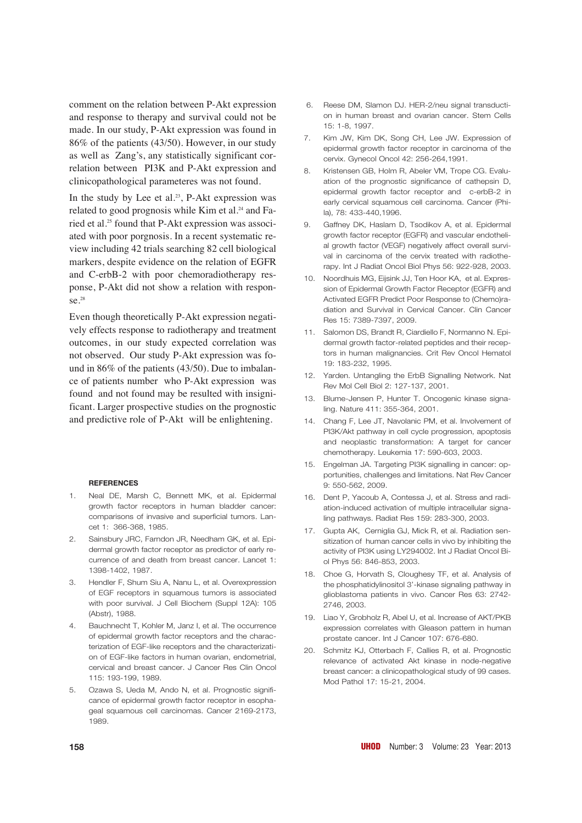comment on the relation between P-Akt expression and response to therapy and survival could not be made. In our study, P-Akt expression was found in 86% of the patients (43/50). However, in our study as well as Zang's, any statistically significant correlation between PI3K and P-Akt expression and clinicopathological parameteres was not found.

In the study by Lee et al.<sup>23</sup>, P-Akt expression was related to good prognosis while Kim et al.<sup>24</sup> and Faried et al.<sup>25</sup> found that P-Akt expression was associated with poor porgnosis. In a recent systematic review including 42 trials searching 82 cell biological markers, despite evidence on the relation of EGFR and C-erbB-2 with poor chemoradiotherapy response, P-Akt did not show a relation with response.28

Even though theoretically P-Akt expression negatively effects response to radiotherapy and treatment outcomes, in our study expected correlation was not observed. Our study P-Akt expression was found in 86% of the patients (43/50). Due to imbalance of patients number who P-Akt expression was found and not found may be resulted with insignificant. Larger prospective studies on the prognostic and predictive role of P-Akt will be enlightening.

#### **REFERENCES**

- 1. Neal DE, Marsh C, Bennett MK, et al. Epidermal growth factor receptors in human bladder cancer: comparisons of invasive and superficial tumors. Lancet 1: 366-368, 1985.
- 2. Sainsbury JRC, Farndon JR, Needham GK, et al. Epidermal growth factor receptor as predictor of early recurrence of and death from breast cancer. Lancet 1: 1398-1402, 1987.
- 3. Hendler F, Shum Siu A, Nanu L, et al. Overexpression of EGF receptors in squamous tumors is associated with poor survival. J Cell Biochem (Suppl 12A): 105 (Abstr), 1988.
- 4. Bauchnecht T, Kohler M, Janz I, et al. The occurrence of epidermal growth factor receptors and the characterization of EGF-like receptors and the characterization of EGF-like factors in human ovarian, endometrial, cervical and breast cancer. J Cancer Res Clin Oncol 115: 193-199, 1989.
- 5. Ozawa S, Ueda M, Ando N, et al. Prognostic significance of epidermal growth factor receptor in esophageal squamous cell carcinomas. Cancer 2169-2173, 1989.
- 6. Reese DM, Slamon DJ. HER-2/neu signal transduction in human breast and ovarian cancer. Stem Cells 15: 1-8, 1997.
- 7. Kim JW, Kim DK, Song CH, Lee JW. Expression of epidermal growth factor receptor in carcinoma of the cervix. Gynecol Oncol 42: 256-264,1991.
- 8. Kristensen GB, Holm R, Abeler VM, Trope CG. Evaluation of the prognostic significance of cathepsin D, epidermal growth factor receptor and c-erbB-2 in early cervical squamous cell carcinoma. Cancer (Phila), 78: 433-440,1996.
- 9. Gaffney DK, Haslam D, Tsodikov A, et al. Epidermal growth factor receptor (EGFR) and vascular endothelial growth factor (VEGF) negatively affect overall survival in carcinoma of the cervix treated with radiotherapy. Int J Radiat Oncol Biol Phys 56: 922-928, 2003.
- 10. Noordhuis MG, Eijsink JJ, Ten Hoor KA, et al. Expression of Epidermal Growth Factor Receptor (EGFR) and Activated EGFR Predict Poor Response to (Chemo)radiation and Survival in Cervical Cancer. Clin Cancer Res 15: 7389-7397, 2009.
- 11. Salomon DS, Brandt R, Ciardiello F, Normanno N. Epidermal growth factor-related peptides and their receptors in human malignancies. Crit Rev Oncol Hematol 19: 183-232, 1995.
- 12. Yarden. Untangling the ErbB Signalling Network. Nat Rev Mol Cell Biol 2: 127-137, 2001.
- 13. Blume-Jensen P, Hunter T. Oncogenic kinase signaling. Nature 411: 355-364, 2001.
- 14. Chang F, Lee JT, Navolanic PM, et al. Involvement of PI3K/Akt pathway in cell cycle progression, apoptosis and neoplastic transformation: A target for cancer chemotherapy. Leukemia 17: 590-603, 2003.
- 15. Engelman JA. Targeting PI3K signalling in cancer: opportunities, challenges and limitations. Nat Rev Cancer 9: 550-562, 2009.
- 16. Dent P, Yacoub A, Contessa J, et al. Stress and radiation-induced activation of multiple intracellular signaling pathways. Radiat Res 159: 283-300, 2003.
- 17. Gupta AK, Cerniglia GJ, Mick R, et al. Radiation sensitization of human cancer cells in vivo by inhibiting the activity of PI3K using LY294002. Int J Radiat Oncol Biol Phys 56: 846-853, 2003.
- 18. Choe G, Horvath S, Cloughesy TF, et al. Analysis of the phosphatidylinositol 3'-kinase signaling pathway in glioblastoma patients in vivo. Cancer Res 63: 2742- 2746, 2003.
- 19. Liao Y, Grobholz R, Abel U, et al. Increase of AKT/PKB expression correlates with Gleason pattern in human prostate cancer. Int J Cancer 107: 676-680.
- 20. Schmitz KJ, Otterbach F, Callies R, et al. Prognostic relevance of activated Akt kinase in node-negative breast cancer: a clinicopathological study of 99 cases. Mod Pathol 17: 15-21, 2004.